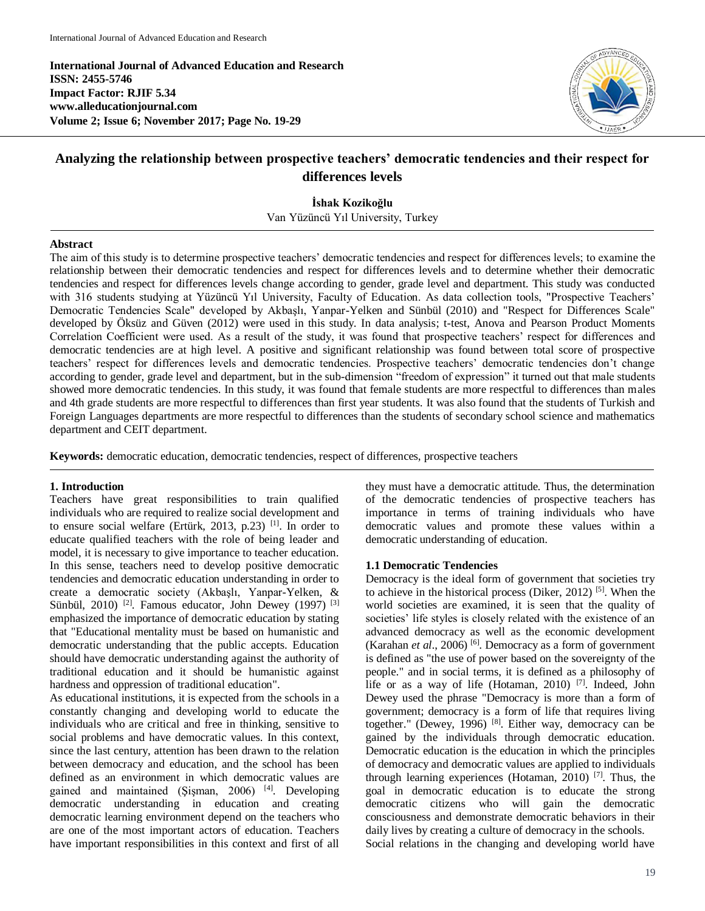**International Journal of Advanced Education and Research ISSN: 2455-5746 Impact Factor: RJIF 5.34 www.alleducationjournal.com Volume 2; Issue 6; November 2017; Page No. 19-29**



# **Analyzing the relationship between prospective teachers' democratic tendencies and their respect for differences levels**

**İshak Kozikoğlu** Van Yüzüncü Yıl University, Turkey

#### **Abstract**

The aim of this study is to determine prospective teachers' democratic tendencies and respect for differences levels; to examine the relationship between their democratic tendencies and respect for differences levels and to determine whether their democratic tendencies and respect for differences levels change according to gender, grade level and department. This study was conducted with 316 students studying at Yüzüncü Yıl University, Faculty of Education. As data collection tools, "Prospective Teachers' Democratic Tendencies Scale" developed by Akbaşlı, Yanpar-Yelken and Sünbül (2010) and "Respect for Differences Scale" developed by Öksüz and Güven (2012) were used in this study. In data analysis; t-test, Anova and Pearson Product Moments Correlation Coefficient were used. As a result of the study, it was found that prospective teachers' respect for differences and democratic tendencies are at high level. A positive and significant relationship was found between total score of prospective teachers' respect for differences levels and democratic tendencies. Prospective teachers' democratic tendencies don't change according to gender, grade level and department, but in the sub-dimension "freedom of expression" it turned out that male students showed more democratic tendencies. In this study, it was found that female students are more respectful to differences than males and 4th grade students are more respectful to differences than first year students. It was also found that the students of Turkish and Foreign Languages departments are more respectful to differences than the students of secondary school science and mathematics department and CEIT department.

**Keywords:** democratic education, democratic tendencies, respect of differences, prospective teachers

#### **1. Introduction**

Teachers have great responsibilities to train qualified individuals who are required to realize social development and to ensure social welfare (Ertürk, 2013, p.23)  $[1]$ . In order to educate qualified teachers with the role of being leader and model, it is necessary to give importance to teacher education. In this sense, teachers need to develop positive democratic tendencies and democratic education understanding in order to create a democratic society (Akbaşlı, Yanpar-Yelken, & Sünbül, 2010)<sup>[2]</sup>. Famous educator, John Dewey (1997)<sup>[3]</sup> emphasized the importance of democratic education by stating that "Educational mentality must be based on humanistic and democratic understanding that the public accepts. Education should have democratic understanding against the authority of traditional education and it should be humanistic against hardness and oppression of traditional education".

As educational institutions, it is expected from the schools in a constantly changing and developing world to educate the individuals who are critical and free in thinking, sensitive to social problems and have democratic values. In this context, since the last century, attention has been drawn to the relation between democracy and education, and the school has been defined as an environment in which democratic values are gained and maintained (Şişman, 2006)<sup>[4]</sup>. Developing democratic understanding in education and creating democratic learning environment depend on the teachers who are one of the most important actors of education. Teachers have important responsibilities in this context and first of all

they must have a democratic attitude. Thus, the determination of the democratic tendencies of prospective teachers has importance in terms of training individuals who have democratic values and promote these values within a democratic understanding of education.

#### **1.1 Democratic Tendencies**

Democracy is the ideal form of government that societies try to achieve in the historical process (Diker, 2012)<sup>[5]</sup>. When the world societies are examined, it is seen that the quality of societies' life styles is closely related with the existence of an advanced democracy as well as the economic development (Karahan *et al*., 2006) [6] . Democracy as a form of government is defined as "the use of power based on the sovereignty of the people." and in social terms, it is defined as a philosophy of life or as a way of life (Hotaman, 2010)<sup>[7]</sup>. Indeed, John Dewey used the phrase "Democracy is more than a form of government; democracy is a form of life that requires living together." (Dewey, 1996)<sup>[8]</sup>. Either way, democracy can be gained by the individuals through democratic education. Democratic education is the education in which the principles of democracy and democratic values are applied to individuals through learning experiences (Hotaman, 2010)<sup>[7]</sup>. Thus, the goal in democratic education is to educate the strong democratic citizens who will gain the democratic consciousness and demonstrate democratic behaviors in their daily lives by creating a culture of democracy in the schools. Social relations in the changing and developing world have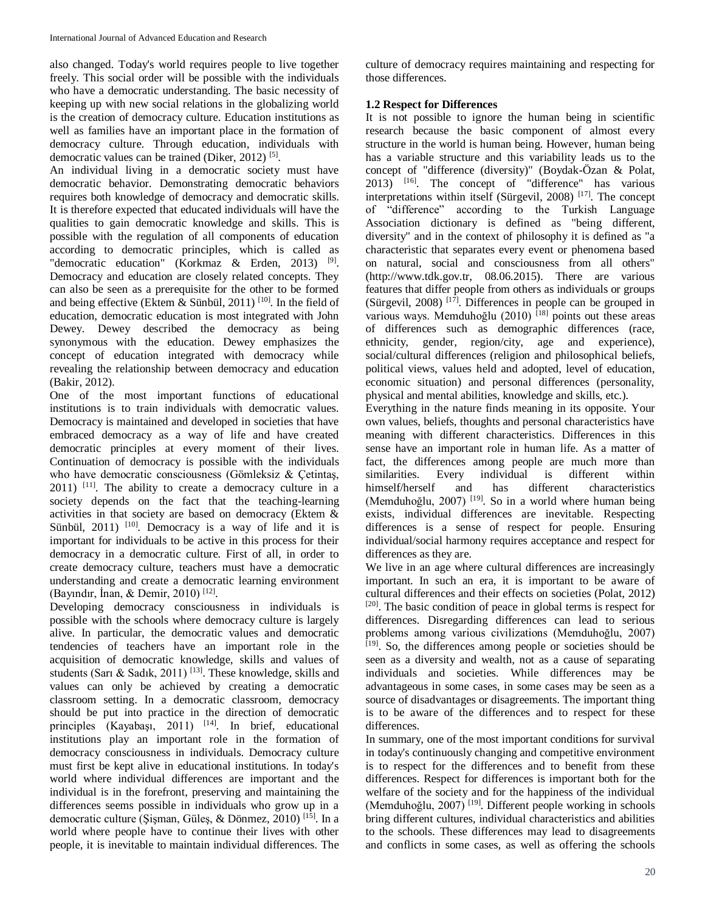also changed. Today's world requires people to live together freely. This social order will be possible with the individuals who have a democratic understanding. The basic necessity of keeping up with new social relations in the globalizing world is the creation of democracy culture. Education institutions as well as families have an important place in the formation of democracy culture. Through education, individuals with democratic values can be trained (Diker, 2012)<sup>[5]</sup>.

An individual living in a democratic society must have democratic behavior. Demonstrating democratic behaviors requires both knowledge of democracy and democratic skills. It is therefore expected that educated individuals will have the qualities to gain democratic knowledge and skills. This is possible with the regulation of all components of education according to democratic principles, which is called as "democratic education" (Korkmaz & Erden, 2013) <sup>[9]</sup>. Democracy and education are closely related concepts. They can also be seen as a prerequisite for the other to be formed and being effective (Ektem & Sünbül, 2011)<sup>[10]</sup>. In the field of education, democratic education is most integrated with John Dewey. Dewey described the democracy as being synonymous with the education. Dewey emphasizes the concept of education integrated with democracy while revealing the relationship between democracy and education (Bakir, 2012).

One of the most important functions of educational institutions is to train individuals with democratic values. Democracy is maintained and developed in societies that have embraced democracy as a way of life and have created democratic principles at every moment of their lives. Continuation of democracy is possible with the individuals who have democratic consciousness (Gömleksiz & Çetintaş,  $2011$ ) <sup>[11]</sup>. The ability to create a democracy culture in a society depends on the fact that the teaching-learning activities in that society are based on democracy (Ektem & Sünbül,  $2011$ )<sup>[10]</sup>. Democracy is a way of life and it is important for individuals to be active in this process for their democracy in a democratic culture. First of all, in order to create democracy culture, teachers must have a democratic understanding and create a democratic learning environment (Bayındır, İnan, & Demir, 2010)<sup>[12]</sup>.

Developing democracy consciousness in individuals is possible with the schools where democracy culture is largely alive. In particular, the democratic values and democratic tendencies of teachers have an important role in the acquisition of democratic knowledge, skills and values of students (Sarı & Sadık, 2011)<sup>[13]</sup>. These knowledge, skills and values can only be achieved by creating a democratic classroom setting. In a democratic classroom, democracy should be put into practice in the direction of democratic principles (Kayabaşı, 2011)  $[14]$ . In brief, educational institutions play an important role in the formation of democracy consciousness in individuals. Democracy culture must first be kept alive in educational institutions. In today's world where individual differences are important and the individual is in the forefront, preserving and maintaining the differences seems possible in individuals who grow up in a democratic culture (Şişman, Güleş, & Dönmez, 2010) [15] . In a world where people have to continue their lives with other people, it is inevitable to maintain individual differences. The

culture of democracy requires maintaining and respecting for those differences.

# **1.2 Respect for Differences**

It is not possible to ignore the human being in scientific research because the basic component of almost every structure in the world is human being. However, human being has a variable structure and this variability leads us to the concept of "difference (diversity)" (Boydak-Özan & Polat,  $2013$ )  $^{[16]}$ . The concept of "difference" has various interpretations within itself (Sürgevil, 2008)<sup>[17]</sup>. The concept of "difference" according to the Turkish Language Association dictionary is defined as "being different, diversity" and in the context of philosophy it is defined as "a characteristic that separates every event or phenomena based on natural, social and consciousness from all others" (http://www.tdk.gov.tr, 08.06.2015). There are various features that differ people from others as individuals or groups (Sürgevil,  $2008$ )<sup>[17]</sup>. Differences in people can be grouped in various ways. Memduhoğlu (2010) <sup>[18]</sup> points out these areas of differences such as demographic differences (race, ethnicity, gender, region/city, age and experience), social/cultural differences (religion and philosophical beliefs, political views, values held and adopted, level of education, economic situation) and personal differences (personality, physical and mental abilities, knowledge and skills, etc.).

Everything in the nature finds meaning in its opposite. Your own values, beliefs, thoughts and personal characteristics have meaning with different characteristics. Differences in this sense have an important role in human life. As a matter of fact, the differences among people are much more than similarities. Every individual is different within himself/herself and has different characteristics (Memduhoğlu, 2007) [19] . So in a world where human being exists, individual differences are inevitable. Respecting differences is a sense of respect for people. Ensuring individual/social harmony requires acceptance and respect for differences as they are.

We live in an age where cultural differences are increasingly important. In such an era, it is important to be aware of cultural differences and their effects on societies (Polat, 2012)  $[20]$ . The basic condition of peace in global terms is respect for differences. Disregarding differences can lead to serious problems among various civilizations (Memduhoğlu, 2007) [19]. So, the differences among people or societies should be seen as a diversity and wealth, not as a cause of separating individuals and societies. While differences may be advantageous in some cases, in some cases may be seen as a source of disadvantages or disagreements. The important thing is to be aware of the differences and to respect for these differences.

In summary, one of the most important conditions for survival in today's continuously changing and competitive environment is to respect for the differences and to benefit from these differences. Respect for differences is important both for the welfare of the society and for the happiness of the individual (Memduhoğlu, 2007)<sup>[19]</sup>. Different people working in schools bring different cultures, individual characteristics and abilities to the schools. These differences may lead to disagreements and conflicts in some cases, as well as offering the schools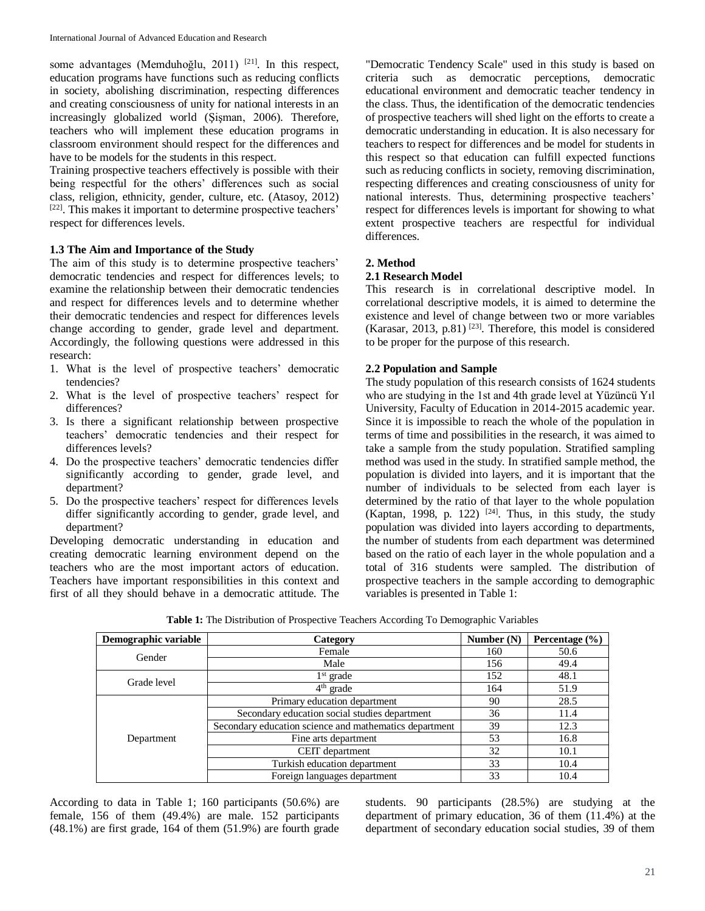some advantages (Memduhoğlu, 2011)<sup>[21]</sup>. In this respect, education programs have functions such as reducing conflicts in society, abolishing discrimination, respecting differences and creating consciousness of unity for national interests in an increasingly globalized world (Şişman, 2006). Therefore, teachers who will implement these education programs in classroom environment should respect for the differences and have to be models for the students in this respect.

Training prospective teachers effectively is possible with their being respectful for the others' differences such as social class, religion, ethnicity, gender, culture, etc. (Atasoy, 2012) [22] . This makes it important to determine prospective teachers' respect for differences levels.

# **1.3 The Aim and Importance of the Study**

The aim of this study is to determine prospective teachers' democratic tendencies and respect for differences levels; to examine the relationship between their democratic tendencies and respect for differences levels and to determine whether their democratic tendencies and respect for differences levels change according to gender, grade level and department. Accordingly, the following questions were addressed in this research:

- 1. What is the level of prospective teachers' democratic tendencies?
- 2. What is the level of prospective teachers' respect for differences?
- 3. Is there a significant relationship between prospective teachers' democratic tendencies and their respect for differences levels?
- 4. Do the prospective teachers' democratic tendencies differ significantly according to gender, grade level, and department?
- 5. Do the prospective teachers' respect for differences levels differ significantly according to gender, grade level, and department?

Developing democratic understanding in education and creating democratic learning environment depend on the teachers who are the most important actors of education. Teachers have important responsibilities in this context and first of all they should behave in a democratic attitude. The

"Democratic Tendency Scale" used in this study is based on criteria such as democratic perceptions, democratic educational environment and democratic teacher tendency in the class. Thus, the identification of the democratic tendencies of prospective teachers will shed light on the efforts to create a democratic understanding in education. It is also necessary for teachers to respect for differences and be model for students in this respect so that education can fulfill expected functions such as reducing conflicts in society, removing discrimination, respecting differences and creating consciousness of unity for national interests. Thus, determining prospective teachers' respect for differences levels is important for showing to what extent prospective teachers are respectful for individual differences.

### **2. Method**

### **2.1 Research Model**

This research is in correlational descriptive model. In correlational descriptive models, it is aimed to determine the existence and level of change between two or more variables (Karasar, 2013, p.81)<sup>[23]</sup>. Therefore, this model is considered to be proper for the purpose of this research.

# **2.2 Population and Sample**

The study population of this research consists of 1624 students who are studying in the 1st and 4th grade level at Yüzüncü Yıl University, Faculty of Education in 2014-2015 academic year. Since it is impossible to reach the whole of the population in terms of time and possibilities in the research, it was aimed to take a sample from the study population. Stratified sampling method was used in the study. In stratified sample method, the population is divided into layers, and it is important that the number of individuals to be selected from each layer is determined by the ratio of that layer to the whole population (Kaptan, 1998, p. 122)<sup>[24]</sup>. Thus, in this study, the study population was divided into layers according to departments, the number of students from each department was determined based on the ratio of each layer in the whole population and a total of 316 students were sampled. The distribution of prospective teachers in the sample according to demographic variables is presented in Table 1:

| Demographic variable | Category                                               | Number (N) | Percentage $(\% )$ |
|----------------------|--------------------------------------------------------|------------|--------------------|
|                      | Female                                                 | 160        | 50.6               |
| Gender               | Male                                                   | 156        | 49.4               |
| Grade level          | $1st$ grade                                            | 152        | 48.1               |
|                      | $4th$ grade                                            | 164        | 51.9               |
|                      | Primary education department                           | 90         | 28.5               |
|                      | Secondary education social studies department          | 36         | 11.4               |
|                      | Secondary education science and mathematics department | 39         | 12.3               |
| Department           | Fine arts department                                   | 53         | 16.8               |
|                      | CEIT department                                        | 32         | 10.1               |
|                      | Turkish education department                           | 33         | 10.4               |
|                      | Foreign languages department                           | 33         | 10.4               |

**Table 1:** The Distribution of Prospective Teachers According To Demographic Variables

According to data in Table 1; 160 participants (50.6%) are female, 156 of them (49.4%) are male. 152 participants (48.1%) are first grade, 164 of them (51.9%) are fourth grade students. 90 participants (28.5%) are studying at the department of primary education, 36 of them (11.4%) at the department of secondary education social studies, 39 of them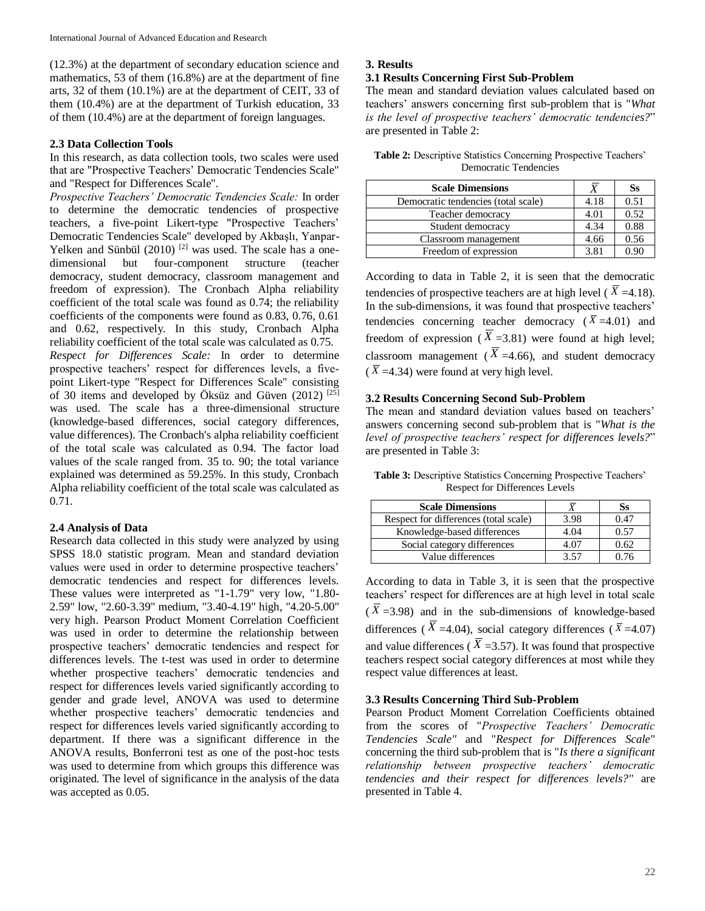(12.3%) at the department of secondary education science and mathematics, 53 of them (16.8%) are at the department of fine arts, 32 of them (10.1%) are at the department of CEIT, 33 of them (10.4%) are at the department of Turkish education, 33 of them (10.4%) are at the department of foreign languages.

#### **2.3 Data Collection Tools**

In this research, as data collection tools, two scales were used that are "Prospective Teachers' Democratic Tendencies Scale" and "Respect for Differences Scale".

*Prospective Teachers' Democratic Tendencies Scale:* In order to determine the democratic tendencies of prospective teachers, a five-point Likert-type "Prospective Teachers' Democratic Tendencies Scale" developed by Akbaşlı, Yanpar-Yelken and Sünbül  $(2010)$ <sup>[2]</sup> was used. The scale has a onedimensional but four-component structure (teacher democracy, student democracy, classroom management and freedom of expression). The Cronbach Alpha reliability coefficient of the total scale was found as 0.74; the reliability coefficients of the components were found as 0.83, 0.76, 0.61 and 0.62, respectively. In this study, Cronbach Alpha reliability coefficient of the total scale was calculated as 0.75. *Respect for Differences Scale:* In order to determine prospective teachers' respect for differences levels, a fivepoint Likert-type "Respect for Differences Scale" consisting of 30 items and developed by Öksüz and Güven (2012) [25] was used. The scale has a three-dimensional structure (knowledge-based differences, social category differences, value differences). The Cronbach's alpha reliability coefficient of the total scale was calculated as 0.94. The factor load values of the scale ranged from. 35 to. 90; the total variance explained was determined as 59.25%. In this study, Cronbach Alpha reliability coefficient of the total scale was calculated as 0.71.

# **2.4 Analysis of Data**

Research data collected in this study were analyzed by using SPSS 18.0 statistic program. Mean and standard deviation values were used in order to determine prospective teachers' democratic tendencies and respect for differences levels. These values were interpreted as "1-1.79" very low, "1.80- 2.59" low, "2.60-3.39" medium, "3.40-4.19" high, "4.20-5.00" very high. Pearson Product Moment Correlation Coefficient was used in order to determine the relationship between prospective teachers' democratic tendencies and respect for differences levels. The t-test was used in order to determine whether prospective teachers' democratic tendencies and respect for differences levels varied significantly according to gender and grade level, ANOVA was used to determine whether prospective teachers' democratic tendencies and respect for differences levels varied significantly according to department. If there was a significant difference in the ANOVA results, Bonferroni test as one of the post-hoc tests was used to determine from which groups this difference was originated. The level of significance in the analysis of the data was accepted as 0.05.

# **3. Results**

#### **3.1 Results Concerning First Sub-Problem**

The mean and standard deviation values calculated based on teachers' answers concerning first sub-problem that is "*What is the level of prospective teachers' democratic tendencies?*" are presented in Table 2:

| <b>Table 2:</b> Descriptive Statistics Concerning Prospective Teachers' |
|-------------------------------------------------------------------------|
| Democratic Tendencies                                                   |

| <b>Scale Dimensions</b>             |      | <b>Ss</b> |
|-------------------------------------|------|-----------|
| Democratic tendencies (total scale) | 4.18 | 0.51      |
| Teacher democracy                   | 4.01 | 0.52      |
| Student democracy                   | 4.34 | 0.88      |
| Classroom management                | 4.66 | 0.56      |
| Freedom of expression               | 3.81 | 0.90      |

According to data in Table 2, it is seen that the democratic tendencies of prospective teachers are at high level ( $\overline{X}$  =4.18). In the sub-dimensions, it was found that prospective teachers' tendencies concerning teacher democracy  $(\overline{X} = 4.01)$  and freedom of expression ( $\overline{X}$  =3.81) were found at high level; classroom management ( $\overline{X}$  =4.66), and student democracy  $(\overline{X}$  =4.34) were found at very high level.

#### **3.2 Results Concerning Second Sub-Problem**

The mean and standard deviation values based on teachers' answers concerning second sub-problem that is "*What is the level of prospective teachers' respect for differences levels?*" are presented in Table 3:

**Table 3:** Descriptive Statistics Concerning Prospective Teachers' Respect for Differences Levels

| <b>Scale Dimensions</b>               |      | Ss   |
|---------------------------------------|------|------|
| Respect for differences (total scale) | 3.98 | 0.47 |
| Knowledge-based differences           | 4.04 | 0.57 |
| Social category differences           | 4.07 | 0.62 |
| Value differences                     | 357  |      |

According to data in Table 3, it is seen that the prospective teachers' respect for differences are at high level in total scale  $(\overline{X} = 3.98)$  and in the sub-dimensions of knowledge-based differences ( $\overline{X}$  =4.04), social category differences ( $\overline{X}$  =4.07) and value differences ( $\overline{X}$  =3.57). It was found that prospective teachers respect social category differences at most while they respect value differences at least.

# **3.3 Results Concerning Third Sub-Problem**

Pearson Product Moment Correlation Coefficients obtained from the scores of "*Prospective Teachers' Democratic Tendencies Scale"* and "*Respect for Differences Scale*" concerning the third sub-problem that is "*Is there a significant relationship between prospective teachers' democratic tendencies and their respect for differences levels?"* are presented in Table 4.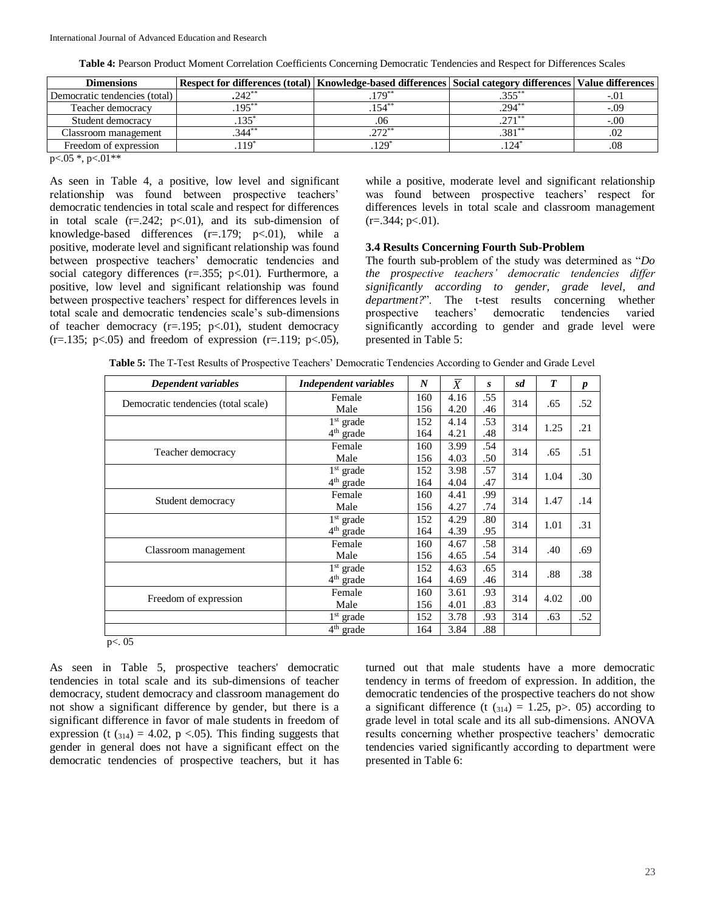| Table 4: Pearson Product Moment Correlation Coefficients Concerning Democratic Tendencies and Respect for Differences Scales |  |  |
|------------------------------------------------------------------------------------------------------------------------------|--|--|
|------------------------------------------------------------------------------------------------------------------------------|--|--|

| <b>Dimensions</b>                                                                                     | Respect for differences (total) Knowledge-based differences Social category differences Value differences |         |           |        |
|-------------------------------------------------------------------------------------------------------|-----------------------------------------------------------------------------------------------------------|---------|-----------|--------|
| Democratic tendencies (total)                                                                         | $.242**$                                                                                                  | $70^*$  | 255       | -.01   |
| Teacher democracy                                                                                     | $.195*$                                                                                                   |         | $.294*$   | $-.09$ |
| Student democracy                                                                                     | 135                                                                                                       | .06     | $.271***$ | -.00   |
| Classroom management                                                                                  | $344***$                                                                                                  | ∗ר ה^   | $.381***$ |        |
| Freedom of expression                                                                                 | 19                                                                                                        | $.129*$ |           | .08    |
| $\sim$ $\sqrt{2}$ $\approx$ $\sim$ $\sqrt{2}$ $\approx$ $\sim$ $\sqrt{2}$ $\approx$ $\sim$ $\sqrt{2}$ |                                                                                                           |         |           |        |

p<.05 \*, p<.01\*\*

As seen in Table 4, a positive, low level and significant relationship was found between prospective teachers' democratic tendencies in total scale and respect for differences in total scale  $(r=.242; p<.01)$ , and its sub-dimension of knowledge-based differences  $(r=.179; p<.01)$ , while a positive, moderate level and significant relationship was found between prospective teachers' democratic tendencies and social category differences  $(r=.355; p<.01)$ . Furthermore, a positive, low level and significant relationship was found between prospective teachers' respect for differences levels in total scale and democratic tendencies scale's sub-dimensions of teacher democracy  $(r=.195; p<.01)$ , student democracy  $(r=.135; p<.05)$  and freedom of expression  $(r=.119; p<.05)$ , while a positive, moderate level and significant relationship was found between prospective teachers' respect for differences levels in total scale and classroom management  $(r=.344; p<.01).$ 

### **3.4 Results Concerning Fourth Sub-Problem**

The fourth sub-problem of the study was determined as "*Do the prospective teachers' democratic tendencies differ significantly according to gender, grade level, and department?*". The t-test results concerning whether prospective teachers' democratic tendencies varied significantly according to gender and grade level were presented in Table 5:

| Dependent variables                 | <b>Independent variables</b> | $\boldsymbol{N}$ | X    | S   | sd  | $\boldsymbol{T}$ | $\boldsymbol{p}$ |
|-------------------------------------|------------------------------|------------------|------|-----|-----|------------------|------------------|
|                                     | Female                       | 160              | 4.16 | .55 | 314 | .65              | .52              |
| Democratic tendencies (total scale) | Male                         | 156              | 4.20 | .46 |     |                  |                  |
|                                     | $1st$ grade                  | 152              | 4.14 | .53 | 314 | 1.25             | .21              |
|                                     | $4th$ grade                  | 164              | 4.21 | .48 |     |                  |                  |
| Teacher democracy                   | Female                       | 160              | 3.99 | .54 | 314 | .65              | .51              |
|                                     | Male                         | 156              | 4.03 | .50 |     |                  |                  |
|                                     | $1st$ grade                  | 152              | 3.98 | .57 | 314 | 1.04             | .30              |
|                                     | $4th$ grade                  | 164              | 4.04 | .47 |     |                  |                  |
|                                     | Female                       | 160              | 4.41 | .99 | 314 | 1.47             | .14              |
| Student democracy                   | Male                         | 156              | 4.27 | .74 |     |                  |                  |
|                                     | $1st$ grade                  | 152              | 4.29 | .80 | 314 | 1.01             | .31              |
|                                     | $4th$ grade                  | 164              | 4.39 | .95 |     |                  |                  |
|                                     | Female                       | 160              | 4.67 | .58 | 314 | .40              | .69              |
| Classroom management                | Male                         | 156              | 4.65 | .54 |     |                  |                  |
|                                     | $1st$ grade                  | 152              | 4.63 | .65 | 314 | .88              | .38              |
|                                     | $4th$ grade                  | 164              | 4.69 | .46 |     |                  |                  |
| Freedom of expression               | Female                       | 160              | 3.61 | .93 | 314 | 4.02             | .00              |
|                                     | Male                         | 156              | 4.01 | .83 |     |                  |                  |
|                                     | $1st$ grade                  | 152              | 3.78 | .93 | 314 | .63              | .52              |
|                                     | 4 <sup>th</sup> grade        | 164              | 3.84 | .88 |     |                  |                  |

**Table 5:** The T-Test Results of Prospective Teachers' Democratic Tendencies According to Gender and Grade Level

p<. 05

As seen in Table 5, prospective teachers' democratic tendencies in total scale and its sub-dimensions of teacher democracy, student democracy and classroom management do not show a significant difference by gender, but there is a significant difference in favor of male students in freedom of expression (t  $\left(314\right) = 4.02$ , p <.05). This finding suggests that gender in general does not have a significant effect on the democratic tendencies of prospective teachers, but it has

turned out that male students have a more democratic tendency in terms of freedom of expression. In addition, the democratic tendencies of the prospective teachers do not show a significant difference (t  $(314) = 1.25$ , p>. 05) according to grade level in total scale and its all sub-dimensions. ANOVA results concerning whether prospective teachers' democratic tendencies varied significantly according to department were presented in Table 6: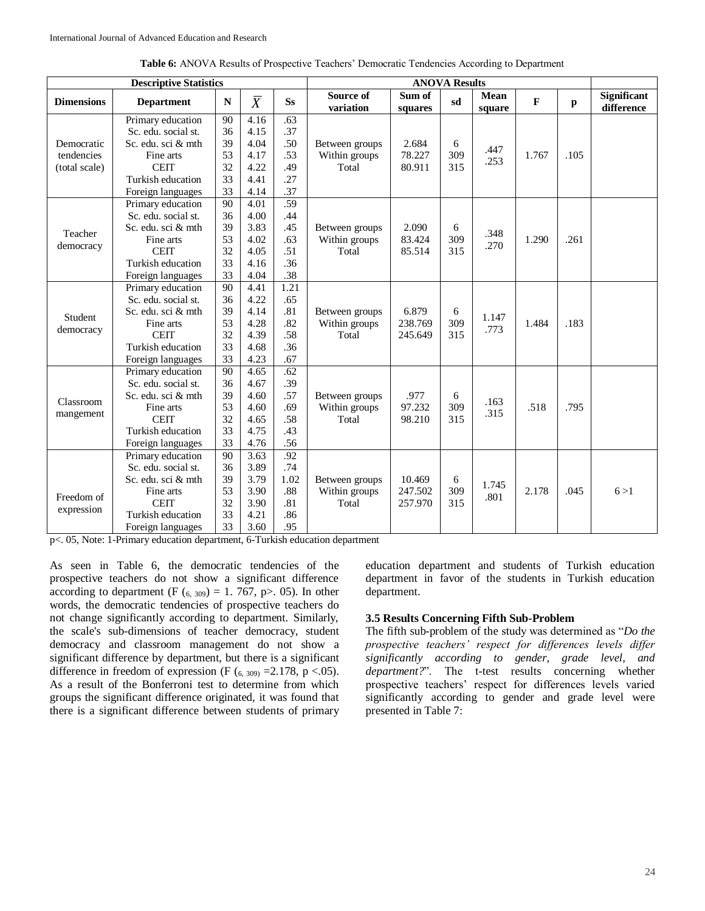| <b>Descriptive Statistics</b> |                     |           |                |           | <b>ANOVA Results</b> |         |     |        |             |      |                    |
|-------------------------------|---------------------|-----------|----------------|-----------|----------------------|---------|-----|--------|-------------|------|--------------------|
| <b>Dimensions</b>             |                     |           |                | <b>Ss</b> | Source of            | Sum of  | sd  | Mean   | $\mathbf F$ |      | <b>Significant</b> |
|                               | <b>Department</b>   | ${\bf N}$ | $\overline{X}$ |           | variation            | squares |     | square |             | p    | difference         |
|                               | Primary education   | 90        | 4.16           | .63       |                      |         |     |        |             |      |                    |
|                               | Sc. edu. social st. | 36        | 4.15           | .37       |                      |         |     |        |             |      |                    |
| Democratic                    | Sc. edu. sci & mth  | 39        | 4.04           | .50       | Between groups       | 2.684   | 6   | .447   |             |      |                    |
| tendencies                    | Fine arts           | 53        | 4.17           | .53       | Within groups        | 78.227  | 309 | .253   | 1.767       | .105 |                    |
| (total scale)                 | <b>CEIT</b>         | 32        | 4.22           | .49       | Total                | 80.911  | 315 |        |             |      |                    |
|                               | Turkish education   | 33        | 4.41           | .27       |                      |         |     |        |             |      |                    |
|                               | Foreign languages   | 33        | 4.14           | .37       |                      |         |     |        |             |      |                    |
|                               | Primary education   | 90        | 4.01           | .59       |                      |         |     |        |             |      |                    |
|                               | Sc. edu. social st. | 36        | 4.00           | .44       |                      |         |     |        |             |      |                    |
| Teacher                       | Sc. edu. sci & mth  | 39        | 3.83           | .45       | Between groups       | 2.090   | 6   | .348   |             |      |                    |
| democracy                     | Fine arts           | 53        | 4.02           | .63       | Within groups        | 83.424  | 309 | .270   | 1.290       | .261 |                    |
|                               | <b>CEIT</b>         | 32        | 4.05           | .51       | Total                | 85.514  | 315 |        |             |      |                    |
|                               | Turkish education   | 33        | 4.16           | .36       |                      |         |     |        |             |      |                    |
|                               | Foreign languages   | 33        | 4.04           | .38       |                      |         |     |        |             |      |                    |
|                               | Primary education   | 90        | 4.41           | 1.21      |                      |         |     |        |             |      |                    |
|                               | Sc. edu. social st. | 36        | 4.22           | .65       |                      |         |     |        |             |      |                    |
| Student                       | Sc. edu. sci & mth  | 39        | 4.14           | .81       | Between groups       | 6.879   | 6   | 1.147  |             |      |                    |
| democracy                     | Fine arts           | 53        | 4.28           | .82       | Within groups        | 238.769 | 309 | .773   | 1.484       | .183 |                    |
|                               | <b>CEIT</b>         | 32        | 4.39           | .58       | Total                | 245.649 | 315 |        |             |      |                    |
|                               | Turkish education   | 33        | 4.68           | .36       |                      |         |     |        |             |      |                    |
|                               | Foreign languages   | 33        | 4.23           | .67       |                      |         |     |        |             |      |                    |
|                               | Primary education   | 90        | 4.65           | .62       |                      |         |     |        |             |      |                    |
|                               | Sc. edu. social st. | 36        | 4.67           | .39       |                      |         |     |        |             |      |                    |
| Classroom                     | Sc. edu. sci & mth  | 39        | 4.60           | .57       | Between groups       | .977    | 6   | .163   |             |      |                    |
| mangement                     | Fine arts           | 53        | 4.60           | .69       | Within groups        | 97.232  | 309 | .315   | .518        | .795 |                    |
|                               | <b>CEIT</b>         | 32        | 4.65           | .58       | Total                | 98.210  | 315 |        |             |      |                    |
|                               | Turkish education   | 33        | 4.75           | .43       |                      |         |     |        |             |      |                    |
|                               | Foreign languages   | 33        | 4.76           | .56       |                      |         |     |        |             |      |                    |
|                               | Primary education   | 90        | 3.63           | .92       |                      |         |     |        |             |      |                    |
|                               | Sc. edu. social st. | 36        | 3.89           | .74       |                      |         |     |        |             |      |                    |
|                               | Sc. edu. sci & mth  | 39        | 3.79           | 1.02      | Between groups       | 10.469  | 6   | 1.745  |             |      |                    |
| Freedom of                    | Fine arts           | 53        | 3.90           | .88       | Within groups        | 247.502 | 309 | .801   | 2.178       | .045 | 6 > 1              |
| expression                    | <b>CEIT</b>         | 32        | 3.90           | .81       | Total                | 257.970 | 315 |        |             |      |                    |
|                               | Turkish education   | 33        | 4.21           | .86       |                      |         |     |        |             |      |                    |
|                               | Foreign languages   | 33        | 3.60           | .95       |                      |         |     |        |             |      |                    |

**Table 6:** ANOVA Results of Prospective Teachers' Democratic Tendencies According to Department

p<. 05, Note: 1-Primary education department, 6-Turkish education department

As seen in Table 6, the democratic tendencies of the prospective teachers do not show a significant difference according to department (F  $(6, 309) = 1.767$ , p>. 05). In other words, the democratic tendencies of prospective teachers do not change significantly according to department. Similarly, the scale's sub-dimensions of teacher democracy, student democracy and classroom management do not show a significant difference by department, but there is a significant difference in freedom of expression (F ( $_{6, 309}$  = 2.178, p < 05). As a result of the Bonferroni test to determine from which groups the significant difference originated, it was found that there is a significant difference between students of primary education department and students of Turkish education department in favor of the students in Turkish education department.

# **3.5 Results Concerning Fifth Sub-Problem**

The fifth sub-problem of the study was determined as "*Do the prospective teachers' respect for differences levels differ significantly according to gender, grade level, and department?*". The t-test results concerning whether prospective teachers' respect for differences levels varied significantly according to gender and grade level were presented in Table 7: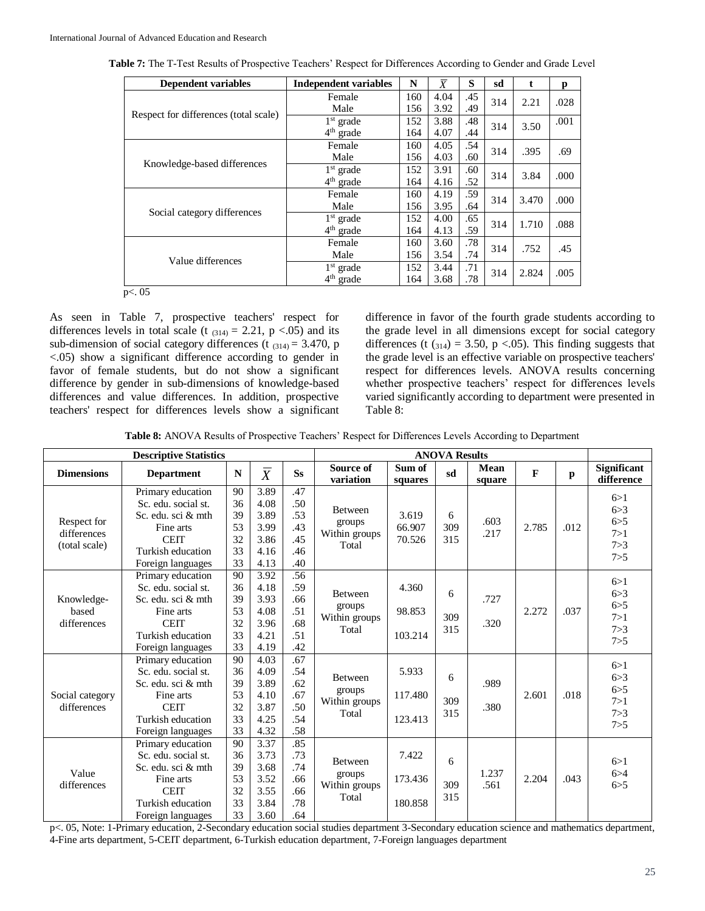| <b>Dependent variables</b>            | <b>Independent variables</b> | N                  | $\overline{\overline{X}}$ | s   | sd  | t.    | p    |
|---------------------------------------|------------------------------|--------------------|---------------------------|-----|-----|-------|------|
|                                       | Female                       | 160                | 4.04                      | .45 | 314 | 2.21  | .028 |
| Respect for differences (total scale) | Male                         | 156                | 3.92                      | .49 |     |       |      |
|                                       | $1st$ grade                  | 152                | 3.88                      | .48 | 314 | 3.50  | .001 |
|                                       | 4 <sup>th</sup> grade        | 164                | 4.07                      | .44 |     |       |      |
|                                       | Female                       | 160                | 4.05                      | .54 | 314 | .395  | .69  |
| Knowledge-based differences           | Male                         | 156                | 4.03                      | .60 |     |       |      |
|                                       | $1st$ grade                  | 152                | 3.91                      | .60 | 314 | 3.84  | .000 |
|                                       | $4th$ grade                  | 164                | 4.16                      | .52 |     |       |      |
|                                       | Female                       | 160                | 4.19                      | .59 | 314 | 3.470 | .000 |
|                                       | Male                         | 156                | 3.95                      | .64 |     |       |      |
| Social category differences           | $1st$ grade                  | 152                | 4.00                      | .65 | 314 |       | .088 |
|                                       | $4th$ grade                  | 164                | 4.13                      | .59 |     | 1.710 |      |
|                                       | Female                       | 160                | 3.60                      | .78 | 314 | .752  | .45  |
| Value differences                     | Male                         | 156                | 3.54                      | .74 |     |       |      |
|                                       | $1st$ grade                  | 152<br>3.44<br>.71 |                           |     | 314 | 2.824 | .005 |
|                                       | $4th$ grade                  | 164                | 3.68                      | .78 |     |       |      |

**Table 7:** The T-Test Results of Prospective Teachers' Respect for Differences According to Gender and Grade Level

 $p<sub>0</sub>05$ 

As seen in Table 7, prospective teachers' respect for differences levels in total scale (t  $_{(314)} = 2.21$ , p <.05) and its sub-dimension of social category differences (t  $_{(314)} = 3.470$ , p <.05) show a significant difference according to gender in favor of female students, but do not show a significant difference by gender in sub-dimensions of knowledge-based differences and value differences. In addition, prospective teachers' respect for differences levels show a significant difference in favor of the fourth grade students according to the grade level in all dimensions except for social category differences (t  $\left(314\right) = 3.50$ , p <.05). This finding suggests that the grade level is an effective variable on prospective teachers' respect for differences levels. ANOVA results concerning whether prospective teachers' respect for differences levels varied significantly according to department were presented in Table 8:

**Table 8:** ANOVA Results of Prospective Teachers' Respect for Differences Levels According to Department

| <b>Descriptive Statistics</b>      |                     |           |                |           | <b>ANOVA Results</b>    |                   |     |                |              |              |                                  |
|------------------------------------|---------------------|-----------|----------------|-----------|-------------------------|-------------------|-----|----------------|--------------|--------------|----------------------------------|
| <b>Dimensions</b>                  | <b>Department</b>   | ${\bf N}$ | $\overline{X}$ | <b>Ss</b> | Source of<br>variation  | Sum of<br>squares | sd  | Mean<br>square | $\mathbf{F}$ | $\mathbf{p}$ | <b>Significant</b><br>difference |
|                                    | Primary education   | 90        | 3.89           | .47       |                         |                   |     |                |              |              | 6 > 1                            |
| Respect for<br>differences         | Sc. edu. social st. | 36        | 4.08           | .50       | <b>Between</b>          |                   |     |                |              |              | 6 > 3                            |
|                                    | Sc. edu. sci & mth  | 39        | 3.89           | .53       |                         | 3.619             | 6   | .603           |              |              | 6 > 5                            |
|                                    | Fine arts           | 53        | 3.99           | .43       | groups<br>Within groups | 66.907            | 309 | .217           | 2.785        | .012         | 7 > 1                            |
| (total scale)                      | <b>CEIT</b>         | 32        | 3.86           | .45       | Total                   | 70.526            | 315 |                |              |              | 7 > 3                            |
|                                    | Turkish education   | 33        | 4.16           | .46       |                         |                   |     |                |              |              | 7 > 5                            |
|                                    | Foreign languages   | 33        | 4.13           | .40       |                         |                   |     |                |              |              |                                  |
|                                    | Primary education   | 90        | 3.92           | .56       |                         |                   |     |                |              |              | 6 > 1                            |
|                                    | Sc. edu. social st. | 36        | 4.18           | .59       | Between                 | 4.360             | 6   |                |              |              | 6 > 3                            |
| Knowledge-<br>based<br>differences | Sc. edu. sci & mth  | 39        | 3.93           | .66       | groups                  |                   |     | .727           |              |              | 6 > 5                            |
|                                    | Fine arts           | 53        | 4.08           | .51       | Within groups           | 98.853            | 309 | 2.272<br>.320  |              | .037         | 7 > 1                            |
|                                    | <b>CEIT</b>         | 32        | 3.96           | .68       | Total                   |                   | 315 |                |              | 7 > 3        |                                  |
|                                    | Turkish education   | 33        | 4.21           | .51       |                         | 103.214           |     |                |              |              | 7 > 5                            |
|                                    | Foreign languages   | 33        | 4.19           | .42       |                         |                   |     |                |              |              |                                  |
|                                    | Primary education   | 90        | 4.03           | .67       |                         |                   |     |                |              |              | 6 > 1                            |
|                                    | Sc. edu. social st. | 36        | 4.09           | .54       | Between                 | 5.933             |     | 6<br>.989      |              |              | 6 > 3                            |
|                                    | Sc. edu. sci & mth  | 39        | 3.89           | .62       | groups                  |                   |     |                | 2.601        | .018         | 6 > 5                            |
| Social category                    | Fine arts           | 53        | 4.10           | .67       | Within groups           | 117.480           | 309 |                |              |              | 7 > 1                            |
| differences                        | <b>CEIT</b>         | 32        | 3.87           | .50       | Total                   |                   | 315 | .380           |              |              | 7 > 3                            |
|                                    | Turkish education   | 33        | 4.25           | .54       |                         | 123.413           |     |                |              |              | 7 > 5                            |
|                                    | Foreign languages   | 33        | 4.32           | .58       |                         |                   |     |                |              |              |                                  |
|                                    | Primary education   | 90        | 3.37           | .85       |                         |                   |     |                |              |              |                                  |
|                                    | Sc. edu. social st. | 36        | 3.73           | .73       | <b>Between</b>          | 7.422             | 6   |                |              |              | 6>1                              |
| Value                              | Sc. edu. sci & mth  | 39        | 3.68           | .74       | groups                  |                   |     | 1.237          |              |              | 6 > 4                            |
| differences                        | Fine arts           | 53        | 3.52           | .66       | Within groups           | 173.436           | 309 | .561           | 2.204        | .043         | 6 > 5                            |
|                                    | <b>CEIT</b>         | 32        | 3.55           | .66       | Total                   |                   | 315 |                |              |              |                                  |
|                                    | Turkish education   | 33        | 3.84           | .78       |                         | 180.858           |     |                |              |              |                                  |
|                                    | Foreign languages   | 33        | 3.60           | .64       |                         |                   |     |                |              |              |                                  |

p<. 05, Note: 1-Primary education, 2-Secondary education social studies department 3-Secondary education science and mathematics department, 4-Fine arts department, 5-CEIT department, 6-Turkish education department, 7-Foreign languages department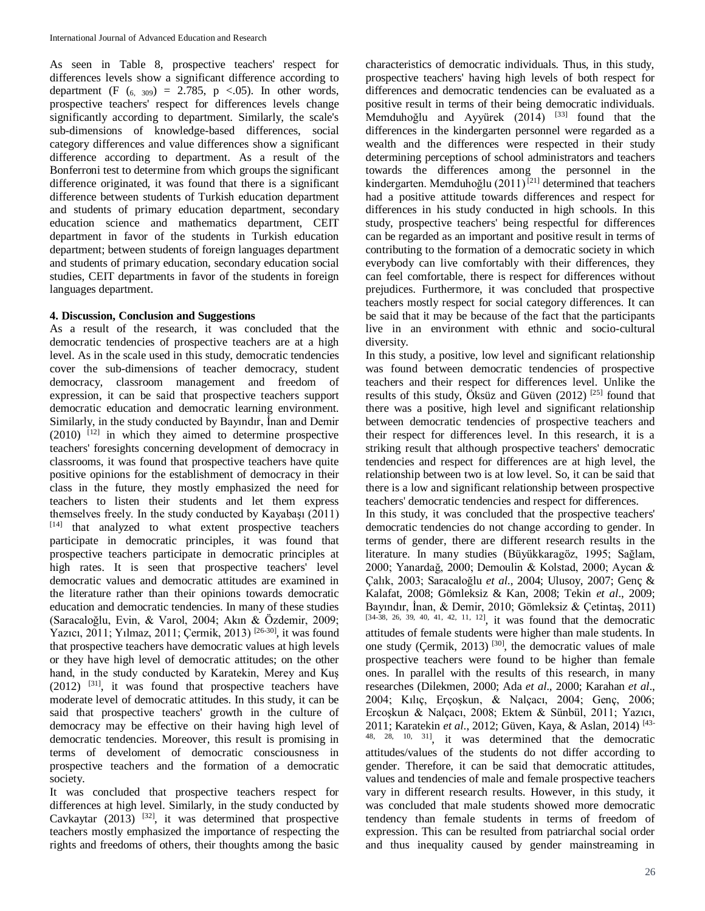As seen in Table 8, prospective teachers' respect for differences levels show a significant difference according to department (F  $(6, 309) = 2.785$ , p <.05). In other words, prospective teachers' respect for differences levels change significantly according to department. Similarly, the scale's sub-dimensions of knowledge-based differences, social category differences and value differences show a significant difference according to department. As a result of the Bonferroni test to determine from which groups the significant difference originated, it was found that there is a significant difference between students of Turkish education department and students of primary education department, secondary education science and mathematics department, CEIT department in favor of the students in Turkish education department; between students of foreign languages department and students of primary education, secondary education social studies, CEIT departments in favor of the students in foreign languages department.

### **4. Discussion, Conclusion and Suggestions**

As a result of the research, it was concluded that the democratic tendencies of prospective teachers are at a high level. As in the scale used in this study, democratic tendencies cover the sub-dimensions of teacher democracy, student democracy, classroom management and freedom of expression, it can be said that prospective teachers support democratic education and democratic learning environment. Similarly, in the study conducted by Bayındır, İnan and Demir  $(2010)$ <sup>[12]</sup> in which they aimed to determine prospective teachers' foresights concerning development of democracy in classrooms, it was found that prospective teachers have quite positive opinions for the establishment of democracy in their class in the future, they mostly emphasized the need for teachers to listen their students and let them express themselves freely. In the study conducted by Kayabaşı (2011) [14] that analyzed to what extent prospective teachers participate in democratic principles, it was found that prospective teachers participate in democratic principles at high rates. It is seen that prospective teachers' level democratic values and democratic attitudes are examined in the literature rather than their opinions towards democratic education and democratic tendencies. In many of these studies (Saracaloğlu, Evin, & Varol, 2004; Akın & Özdemir, 2009; Yazıcı, 2011; Yılmaz, 2011; Çermik, 2013)<sup>[26-30]</sup>, it was found that prospective teachers have democratic values at high levels or they have high level of democratic attitudes; on the other hand, in the study conducted by Karatekin, Merey and Kuş  $(2012)$  <sup>[31]</sup>, it was found that prospective teachers have moderate level of democratic attitudes. In this study, it can be said that prospective teachers' growth in the culture of democracy may be effective on their having high level of democratic tendencies. Moreover, this result is promising in terms of develoment of democratic consciousness in prospective teachers and the formation of a democratic society.

It was concluded that prospective teachers respect for differences at high level. Similarly, in the study conducted by Cavkaytar  $(2013)$  <sup>[32]</sup>, it was determined that prospective teachers mostly emphasized the importance of respecting the rights and freedoms of others, their thoughts among the basic

characteristics of democratic individuals. Thus, in this study, prospective teachers' having high levels of both respect for differences and democratic tendencies can be evaluated as a positive result in terms of their being democratic individuals. Memduhoğlu and Ayyürek (2014) <sup>[33]</sup> found that the differences in the kindergarten personnel were regarded as a wealth and the differences were respected in their study determining perceptions of school administrators and teachers towards the differences among the personnel in the kindergarten. Memduhoğlu  $(2011)^{[21]}$  determined that teachers had a positive attitude towards differences and respect for differences in his study conducted in high schools. In this study, prospective teachers' being respectful for differences can be regarded as an important and positive result in terms of contributing to the formation of a democratic society in which everybody can live comfortably with their differences, they can feel comfortable, there is respect for differences without prejudices. Furthermore, it was concluded that prospective teachers mostly respect for social category differences. It can be said that it may be because of the fact that the participants live in an environment with ethnic and socio-cultural diversity.

In this study, a positive, low level and significant relationship was found between democratic tendencies of prospective teachers and their respect for differences level. Unlike the results of this study, Öksüz and Güven  $(2012)$ <sup>[25]</sup> found that there was a positive, high level and significant relationship between democratic tendencies of prospective teachers and their respect for differences level. In this research, it is a striking result that although prospective teachers' democratic tendencies and respect for differences are at high level, the relationship between two is at low level. So, it can be said that there is a low and significant relationship between prospective teachers' democratic tendencies and respect for differences.

In this study, it was concluded that the prospective teachers' democratic tendencies do not change according to gender. In terms of gender, there are different research results in the literature. In many studies (Büyükkaragöz, 1995; Sağlam, 2000; Yanardağ, 2000; Demoulin & Kolstad, 2000; Aycan & Çalık, 2003; Saracaloğlu *et al*., 2004; Ulusoy, 2007; Genç & Kalafat, 2008; Gömleksiz & Kan, 2008; Tekin *et al*., 2009; Bayındır, İnan, & Demir, 2010; Gömleksiz & Çetintaş, 2011)  $[34-38, 26, 39, 40, 41, 42, 11, 12]$ , it was found that the democratic attitudes of female students were higher than male students. In one study (Çermik, 2013)<sup>[30]</sup>, the democratic values of male prospective teachers were found to be higher than female ones. In parallel with the results of this research, in many researches (Dilekmen, 2000; Ada *et al*., 2000; Karahan *et al*., 2004; Kılıç, Erçoşkun, & Nalçacı, 2004; Genç, 2006; Ercoşkun & Nalçacı, 2008; Ektem & Sünbül, 2011; Yazıcı, 2011; Karatekin *et al*., 2012; Güven, Kaya, & Aslan, 2014) [43-  $48, 28, 10, 31$ , it was determined that the democratic attitudes/values of the students do not differ according to gender. Therefore, it can be said that democratic attitudes, values and tendencies of male and female prospective teachers vary in different research results. However, in this study, it was concluded that male students showed more democratic tendency than female students in terms of freedom of expression. This can be resulted from patriarchal social order and thus inequality caused by gender mainstreaming in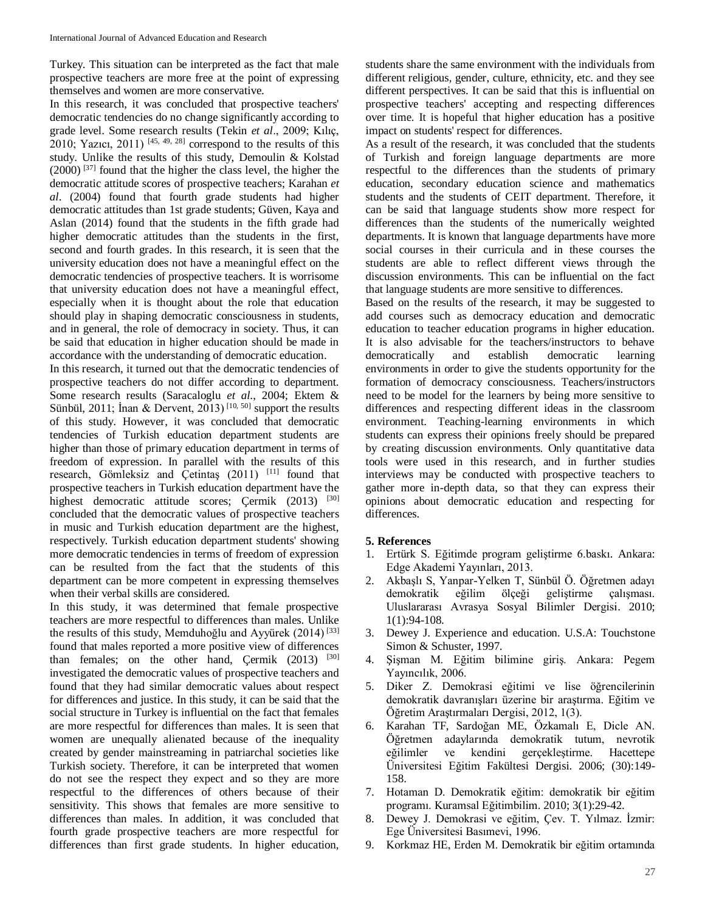Turkey. This situation can be interpreted as the fact that male prospective teachers are more free at the point of expressing themselves and women are more conservative.

In this research, it was concluded that prospective teachers' democratic tendencies do no change significantly according to grade level. Some research results (Tekin *et al*., 2009; Kılıç, 2010; Yazıcı, 2011)<sup>[45, 49, 28]</sup> correspond to the results of this study. Unlike the results of this study, Demoulin & Kolstad  $(2000)$ <sup>[37]</sup> found that the higher the class level, the higher the democratic attitude scores of prospective teachers; Karahan *et al*. (2004) found that fourth grade students had higher democratic attitudes than 1st grade students; Güven, Kaya and Aslan (2014) found that the students in the fifth grade had higher democratic attitudes than the students in the first, second and fourth grades. In this research, it is seen that the university education does not have a meaningful effect on the democratic tendencies of prospective teachers. It is worrisome that university education does not have a meaningful effect, especially when it is thought about the role that education should play in shaping democratic consciousness in students, and in general, the role of democracy in society. Thus, it can be said that education in higher education should be made in accordance with the understanding of democratic education.

In this research, it turned out that the democratic tendencies of prospective teachers do not differ according to department. Some research results (Saracaloglu *et al*., 2004; Ektem & Sünbül, 2011; İnan & Dervent, 2013)<sup>[10, 50]</sup> support the results of this study. However, it was concluded that democratic tendencies of Turkish education department students are higher than those of primary education department in terms of freedom of expression. In parallel with the results of this research, Gömleksiz and Çetintaş  $(2011)$ <sup>[11]</sup> found that prospective teachers in Turkish education department have the highest democratic attitude scores; Çermik (2013) [30] concluded that the democratic values of prospective teachers in music and Turkish education department are the highest, respectively. Turkish education department students' showing more democratic tendencies in terms of freedom of expression can be resulted from the fact that the students of this department can be more competent in expressing themselves when their verbal skills are considered.

In this study, it was determined that female prospective teachers are more respectful to differences than males. Unlike the results of this study, Memduhoğlu and Ayyürek (2014) [33] found that males reported a more positive view of differences than females; on the other hand, Çermik  $(2013)$  [30] investigated the democratic values of prospective teachers and found that they had similar democratic values about respect for differences and justice. In this study, it can be said that the social structure in Turkey is influential on the fact that females are more respectful for differences than males. It is seen that women are unequally alienated because of the inequality created by gender mainstreaming in patriarchal societies like Turkish society. Therefore, it can be interpreted that women do not see the respect they expect and so they are more respectful to the differences of others because of their sensitivity. This shows that females are more sensitive to differences than males. In addition, it was concluded that fourth grade prospective teachers are more respectful for differences than first grade students. In higher education,

students share the same environment with the individuals from different religious, gender, culture, ethnicity, etc. and they see different perspectives. It can be said that this is influential on prospective teachers' accepting and respecting differences over time. It is hopeful that higher education has a positive impact on students' respect for differences.

As a result of the research, it was concluded that the students of Turkish and foreign language departments are more respectful to the differences than the students of primary education, secondary education science and mathematics students and the students of CEIT department. Therefore, it can be said that language students show more respect for differences than the students of the numerically weighted departments. It is known that language departments have more social courses in their curricula and in these courses the students are able to reflect different views through the discussion environments. This can be influential on the fact that language students are more sensitive to differences.

Based on the results of the research, it may be suggested to add courses such as democracy education and democratic education to teacher education programs in higher education. It is also advisable for the teachers/instructors to behave democratically and establish democratic learning environments in order to give the students opportunity for the formation of democracy consciousness. Teachers/instructors need to be model for the learners by being more sensitive to differences and respecting different ideas in the classroom environment. Teaching-learning environments in which students can express their opinions freely should be prepared by creating discussion environments. Only quantitative data tools were used in this research, and in further studies interviews may be conducted with prospective teachers to gather more in-depth data, so that they can express their opinions about democratic education and respecting for differences.

#### **5. References**

- 1. Ertürk S. Eğitimde program geliştirme 6.baskı. Ankara: Edge Akademi Yayınları, 2013.
- 2. Akbaşlı S, Yanpar-Yelken T, Sünbül Ö. Öğretmen adayı demokratik eğilim ölçeği geliştirme çalışması. Uluslararası Avrasya Sosyal Bilimler Dergisi. 2010; 1(1):94-108.
- 3. Dewey J. Experience and education. U.S.A: Touchstone Simon & Schuster, 1997.
- 4. Şişman M. Eğitim bilimine giriş. Ankara: Pegem Yayıncılık, 2006.
- 5. Diker Z. Demokrasi eğitimi ve lise öğrencilerinin demokratik davranışları üzerine bir araştırma. Eğitim ve Öğretim Araştırmaları Dergisi, 2012, 1(3).
- 6. Karahan TF, Sardoğan ME, Özkamalı E, Dicle AN. Öğretmen adaylarında demokratik tutum, nevrotik eğilimler ve kendini gerçekleştirme. Hacettepe Üniversitesi Eğitim Fakültesi Dergisi. 2006; (30):149- 158.
- 7. Hotaman D. Demokratik eğitim: demokratik bir eğitim programı. Kuramsal Eğitimbilim. 2010; 3(1):29-42.
- 8. Dewey J. Demokrasi ve eğitim, Çev. T. Yılmaz. İzmir: Ege Üniversitesi Basımevi, 1996.
- 9. Korkmaz HE, Erden M. Demokratik bir eğitim ortamında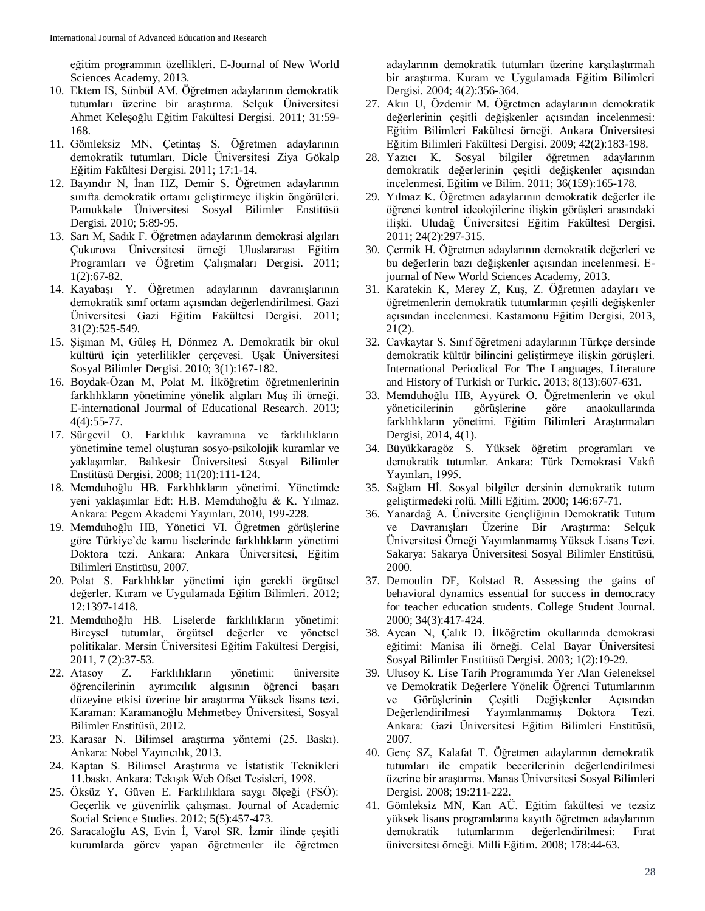eğitim programının özellikleri. E-Journal of New World Sciences Academy, 2013.

- 10. Ektem IS, Sünbül AM. Öğretmen adaylarının demokratik tutumları üzerine bir araştırma. Selçuk Üniversitesi Ahmet Keleşoğlu Eğitim Fakültesi Dergisi. 2011; 31:59- 168.
- 11. Gömleksiz MN, Çetintaş S. Öğretmen adaylarının demokratik tutumları. Dicle Üniversitesi Ziya Gökalp Eğitim Fakültesi Dergisi. 2011; 17:1-14.
- 12. Bayındır N, İnan HZ, Demir S. Öğretmen adaylarının sınıfta demokratik ortamı geliştirmeye ilişkin öngörüleri. Pamukkale Üniversitesi Sosyal Bilimler Enstitüsü Dergisi. 2010; 5:89-95.
- 13. Sarı M, Sadık F. Öğretmen adaylarının demokrasi algıları Çukurova Üniversitesi örneği Uluslararası Eğitim Programları ve Öğretim Çalışmaları Dergisi. 2011; 1(2):67-82.
- 14. Kayabaşı Y. Öğretmen adaylarının davranışlarının demokratik sınıf ortamı açısından değerlendirilmesi. Gazi Üniversitesi Gazi Eğitim Fakültesi Dergisi. 2011; 31(2):525-549.
- 15. Şişman M, Güleş H, Dönmez A. Demokratik bir okul kültürü için yeterlilikler çerçevesi. Uşak Üniversitesi Sosyal Bilimler Dergisi. 2010; 3(1):167-182.
- 16. Boydak-Özan M, Polat M. İlköğretim öğretmenlerinin farklılıkların yönetimine yönelik algıları Muş ili örneği. E-international Jourmal of Educational Research. 2013; 4(4):55-77.
- 17. Sürgevil O. Farklılık kavramına ve farklılıkların yönetimine temel oluşturan sosyo-psikolojik kuramlar ve yaklaşımlar. Balıkesir Üniversitesi Sosyal Bilimler Enstitüsü Dergisi. 2008; 11(20):111-124.
- 18. Memduhoğlu HB. Farklılıkların yönetimi. Yönetimde yeni yaklaşımlar Edt: H.B. Memduhoğlu & K. Yılmaz. Ankara: Pegem Akademi Yayınları, 2010, 199-228.
- 19. Memduhoğlu HB, Yönetici VI. Öğretmen görüşlerine göre Türkiye'de kamu liselerinde farklılıkların yönetimi Doktora tezi. Ankara: Ankara Üniversitesi, Eğitim Bilimleri Enstitüsü, 2007.
- 20. Polat S. Farklılıklar yönetimi için gerekli örgütsel değerler. Kuram ve Uygulamada Eğitim Bilimleri. 2012; 12:1397-1418.
- 21. Memduhoğlu HB. Liselerde farklılıkların yönetimi: Bireysel tutumlar, örgütsel değerler ve yönetsel politikalar. Mersin Üniversitesi Eğitim Fakültesi Dergisi, 2011, 7 (2):37-53.
- 22. Atasoy Z. Farklılıkların yönetimi: üniversite öğrencilerinin ayrımcılık algısının öğrenci başarı düzeyine etkisi üzerine bir araştırma Yüksek lisans tezi. Karaman: Karamanoğlu Mehmetbey Üniversitesi, Sosyal Bilimler Enstitüsü, 2012.
- 23. Karasar N. Bilimsel araştırma yöntemi (25. Baskı). Ankara: Nobel Yayıncılık, 2013.
- 24. Kaptan S. Bilimsel Araştırma ve İstatistik Teknikleri 11.baskı. Ankara: Tekışık Web Ofset Tesisleri, 1998.
- 25. Öksüz Y, Güven E. Farklılıklara saygı ölçeği (FSÖ): Geçerlik ve güvenirlik çalışması. Journal of Academic Social Science Studies. 2012; 5(5):457-473.
- 26. Saracaloğlu AS, Evin İ, Varol SR. İzmir ilinde çeşitli kurumlarda görev yapan öğretmenler ile öğretmen

adaylarının demokratik tutumları üzerine karşılaştırmalı bir araştırma. Kuram ve Uygulamada Eğitim Bilimleri Dergisi. 2004; 4(2):356-364.

- 27. Akın U, Özdemir M. Öğretmen adaylarının demokratik değerlerinin çeşitli değişkenler açısından incelenmesi: Eğitim Bilimleri Fakültesi örneği. Ankara Üniversitesi Eğitim Bilimleri Fakültesi Dergisi. 2009; 42(2):183-198.
- 28. Yazıcı K. Sosyal bilgiler öğretmen adaylarının demokratik değerlerinin çeşitli değişkenler açısından incelenmesi. Eğitim ve Bilim. 2011; 36(159):165-178.
- 29. Yılmaz K. Öğretmen adaylarının demokratik değerler ile öğrenci kontrol ideolojilerine ilişkin görüşleri arasındaki ilişki. Uludağ Üniversitesi Eğitim Fakültesi Dergisi. 2011; 24(2):297-315.
- 30. Çermik H. Öğretmen adaylarının demokratik değerleri ve bu değerlerin bazı değişkenler açısından incelenmesi. Ejournal of New World Sciences Academy, 2013.
- 31. Karatekin K, Merey Z, Kuş, Z. Öğretmen adayları ve öğretmenlerin demokratik tutumlarının çeşitli değişkenler açısından incelenmesi. Kastamonu Eğitim Dergisi, 2013, 21(2).
- 32. Cavkaytar S. Sınıf öğretmeni adaylarının Türkçe dersinde demokratik kültür bilincini geliştirmeye ilişkin görüşleri. International Periodical For The Languages, Literature and History of Turkish or Turkic. 2013; 8(13):607-631.
- 33. Memduhoğlu HB, Ayyürek O. Öğretmenlerin ve okul yöneticilerinin görüşlerine göre anaokullarında farklılıkların yönetimi. Eğitim Bilimleri Araştırmaları Dergisi, 2014, 4(1).
- 34. Büyükkaragöz S. Yüksek öğretim programları ve demokratik tutumlar. Ankara: Türk Demokrasi Vakfı Yayınları, 1995.
- 35. Sağlam Hİ. Sosyal bilgiler dersinin demokratik tutum geliştirmedeki rolü. Milli Eğitim. 2000; 146:67-71.
- 36. Yanardağ A. Üniversite Gençliğinin Demokratik Tutum ve Davranışları Üzerine Bir Araştırma: Selçuk Üniversitesi Örneği Yayımlanmamış Yüksek Lisans Tezi. Sakarya: Sakarya Üniversitesi Sosyal Bilimler Enstitüsü, 2000.
- 37. Demoulin DF, Kolstad R. Assessing the gains of behavioral dynamics essential for success in democracy for teacher education students. College Student Journal. 2000; 34(3):417-424.
- 38. Aycan N, Çalık D. İlköğretim okullarında demokrasi eğitimi: Manisa ili örneği. Celal Bayar Üniversitesi Sosyal Bilimler Enstitüsü Dergisi. 2003; 1(2):19-29.
- 39. Ulusoy K. Lise Tarih Programımda Yer Alan Geleneksel ve Demokratik Değerlere Yönelik Öğrenci Tutumlarının ve Görüşlerinin Çeşitli Değişkenler Açısından Değerlendirilmesi Yayımlanmamış Doktora Tezi. Ankara: Gazi Üniversitesi Eğitim Bilimleri Enstitüsü, 2007.
- 40. Genç SZ, Kalafat T. Öğretmen adaylarının demokratik tutumları ile empatik becerilerinin değerlendirilmesi üzerine bir araştırma. Manas Üniversitesi Sosyal Bilimleri Dergisi. 2008; 19:211-222.
- 41. Gömleksiz MN, Kan AÜ. Eğitim fakültesi ve tezsiz yüksek lisans programlarına kayıtlı öğretmen adaylarının demokratik tutumlarının değerlendirilmesi: Fırat üniversitesi örneği. Milli Eğitim. 2008; 178:44-63.